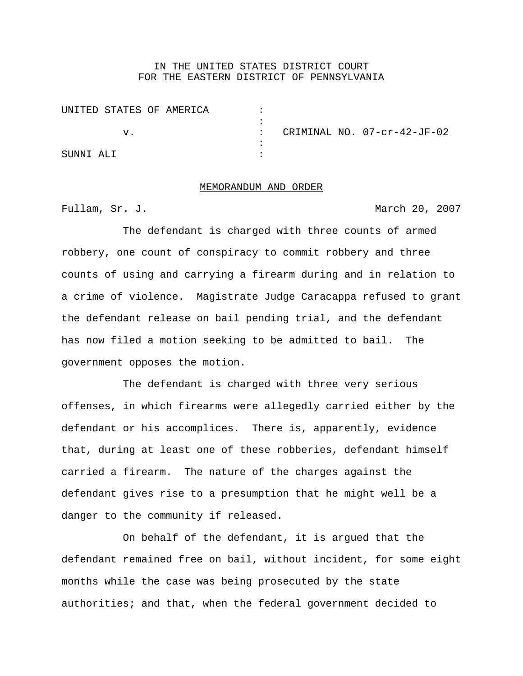## IN THE UNITED STATES DISTRICT COURT FOR THE EASTERN DISTRICT OF PENNSYLVANIA

| UNITED STATES OF AMERICA |  |                             |
|--------------------------|--|-----------------------------|
|                          |  |                             |
| ٦T.                      |  | CRIMINAL NO. 07-cr-42-JF-02 |
|                          |  |                             |
| SUNNI ALI                |  |                             |

## MEMORANDUM AND ORDER

Fullam, Sr. J. March 20, 2007

The defendant is charged with three counts of armed robbery, one count of conspiracy to commit robbery and three counts of using and carrying a firearm during and in relation to a crime of violence. Magistrate Judge Caracappa refused to grant the defendant release on bail pending trial, and the defendant has now filed a motion seeking to be admitted to bail. The government opposes the motion.

The defendant is charged with three very serious offenses, in which firearms were allegedly carried either by the defendant or his accomplices. There is, apparently, evidence that, during at least one of these robberies, defendant himself carried a firearm. The nature of the charges against the defendant gives rise to a presumption that he might well be a danger to the community if released.

On behalf of the defendant, it is argued that the defendant remained free on bail, without incident, for some eight months while the case was being prosecuted by the state authorities; and that, when the federal government decided to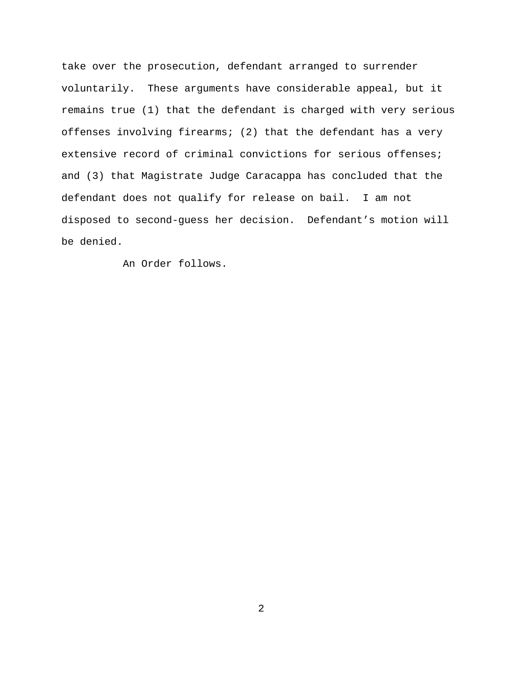take over the prosecution, defendant arranged to surrender voluntarily. These arguments have considerable appeal, but it remains true (1) that the defendant is charged with very serious offenses involving firearms; (2) that the defendant has a very extensive record of criminal convictions for serious offenses; and (3) that Magistrate Judge Caracappa has concluded that the defendant does not qualify for release on bail. I am not disposed to second-guess her decision. Defendant's motion will be denied.

An Order follows.